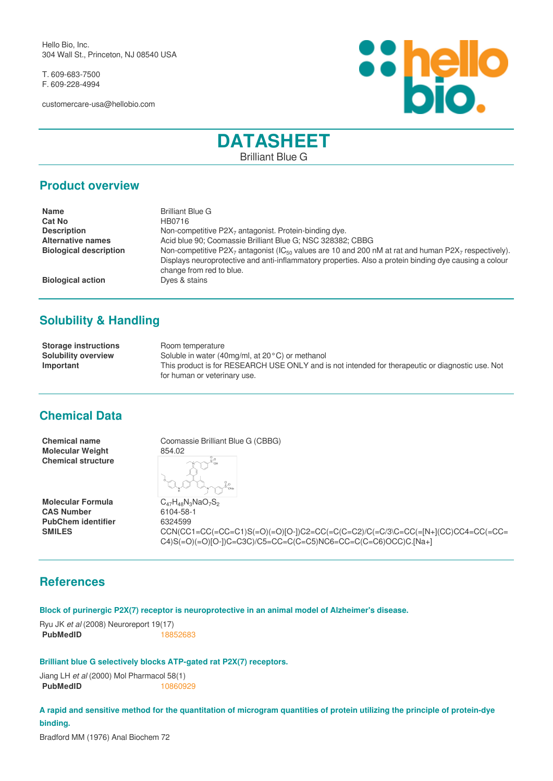Hello Bio, Inc. 304 Wall St., Princeton, NJ 08540 USA

T. 609-683-7500 F. 609-228-4994

customercare-usa@hellobio.com



# **DATASHEET** Brilliant Blue G

#### **Product overview**

| <b>Name</b>                   | <b>Brilliant Blue G</b>                                                                                                                                                                                                                                                       |
|-------------------------------|-------------------------------------------------------------------------------------------------------------------------------------------------------------------------------------------------------------------------------------------------------------------------------|
| <b>Cat No</b>                 | HB0716                                                                                                                                                                                                                                                                        |
| <b>Description</b>            | Non-competitive $P2X_7$ antagonist. Protein-binding dye.                                                                                                                                                                                                                      |
| <b>Alternative names</b>      | Acid blue 90; Coomassie Brilliant Blue G; NSC 328382; CBBG                                                                                                                                                                                                                    |
| <b>Biological description</b> | Non-competitive P2X <sub>7</sub> antagonist (IC <sub>50</sub> values are 10 and 200 nM at rat and human P2X <sub>7</sub> respectively).<br>Displays neuroprotective and anti-inflammatory properties. Also a protein binding dye causing a colour<br>change from red to blue. |
| <b>Biological action</b>      | Dyes & stains                                                                                                                                                                                                                                                                 |

# **Solubility & Handling**

**Storage instructions** Room temperature **Solubility overview** Soluble in water (40mg/ml, at 20°C) or methanol **Important** This product is for RESEARCH USE ONLY and is not intended for therapeutic or diagnostic use. Not for human or veterinary use.

#### **Chemical Data**

**Molecular Weight** 854.02 **Chemical structure**

**Molecular Formula** C<sub>47</sub>H<sub>48</sub>N<sub>3</sub>NaO<sub>7</sub>S<sub>2</sub><br>**CAS Number** 6104-58-1 **CAS Number** 6104-58-<br> **PubChem identifier** 6324599 **PubChem identifier** 

**Chemical name** Coomassie Brilliant Blue G (CBBG)

**SMILES** CCN(CC1=CC(=CC=C1)S(=O)(=O)[O-])C2=CC(=C(C=C2)/C(=C/3\C=CC(=[N+](CC)CC4=CC(=CC= C4)S(=O)(=O)[O-])C=C3C)/C5=CC=C(C=C5)NC6=CC=C(C=C6)OCC)C.[Na+]

### **References**

**Block of purinergic P2X(7) receptor is neuroprotective in an animal model of Alzheimer's disease.**

Ryu JK *et al* (2008) Neuroreport 19(17) **PubMedID** [18852683](http://www.ncbi.nlm.nih.gov/pubmed/18852683)

**Brilliant blue G selectively blocks ATP-gated rat P2X(7) receptors.**

Jiang LH *et al* (2000) Mol Pharmacol 58(1) **PubMedID** [10860929](http://www.ncbi.nlm.nih.gov/pubmed/10860929)

**A rapid and sensitive method for the quantitation of microgram quantities of protein utilizing the principle of protein-dye binding.**

Bradford MM (1976) Anal Biochem 72